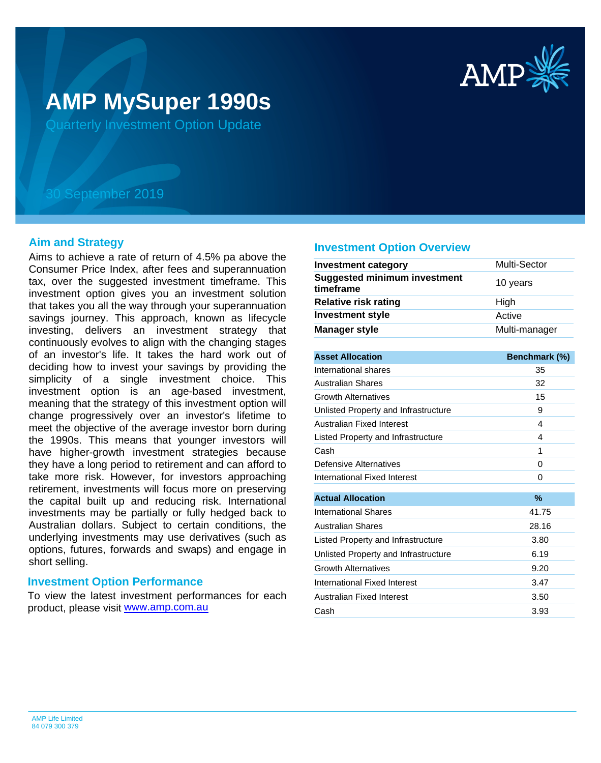

# **AMP MySuper 1990s**

Quarterly Investment Option Update

## 30 September 2019

#### **Aim and Strategy**

Aims to achieve a rate of return of 4.5% pa above the Consumer Price Index, after fees and superannuation tax, over the suggested investment timeframe. This investment option gives you an investment solution that takes you all the way through your superannuation savings journey. This approach, known as lifecycle investing, delivers an investment strategy that continuously evolves to align with the changing stages of an investor's life. It takes the hard work out of deciding how to invest your savings by providing the simplicity of a single investment choice. This investment option is an age-based investment, meaning that the strategy of this investment option will change progressively over an investor's lifetime to meet the objective of the average investor born during the 1990s. This means that younger investors will have higher-growth investment strategies because they have a long period to retirement and can afford to take more risk. However, for investors approaching retirement, investments will focus more on preserving the capital built up and reducing risk. International investments may be partially or fully hedged back to Australian dollars. Subject to certain conditions, the underlying investments may use derivatives (such as options, futures, forwards and swaps) and engage in short selling.

### **Investment Option Performance**

product, please visit **[www.amp.com.au](https://www.amp.com.au)** To view the latest investment performances for each

#### **Investment Option Overview**

| <b>Investment category</b>                       | Multi-Sector  |
|--------------------------------------------------|---------------|
| <b>Suggested minimum investment</b><br>timeframe | 10 years      |
| <b>Relative risk rating</b>                      | High          |
| <b>Investment style</b>                          | Active        |
| <b>Manager style</b>                             | Multi-manager |
|                                                  |               |

| <b>Asset Allocation</b>              | Benchmark (%) |
|--------------------------------------|---------------|
| International shares                 | 35            |
| <b>Australian Shares</b>             | 32            |
| <b>Growth Alternatives</b>           | 15            |
| Unlisted Property and Infrastructure | 9             |
| Australian Fixed Interest            | 4             |
| Listed Property and Infrastructure   | 4             |
| Cash                                 | 1             |
| Defensive Alternatives               | 0             |
| International Fixed Interest         | 0             |
|                                      |               |
| <b>Actual Allocation</b>             | $\%$          |
| International Shares                 | 41.75         |
| <b>Australian Shares</b>             | 28.16         |
| Listed Property and Infrastructure   | 3.80          |
| Unlisted Property and Infrastructure | 6.19          |
| <b>Growth Alternatives</b>           | 9.20          |
| International Fixed Interest         | 3.47          |
| <b>Australian Fixed Interest</b>     | 3.50          |
| Cash                                 | 3.93          |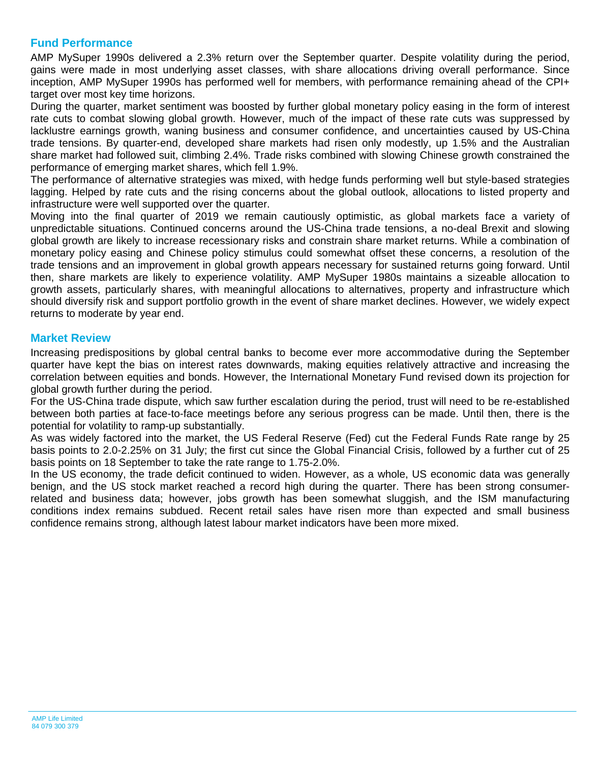## **Fund Performance**

AMP MySuper 1990s delivered a 2.3% return over the September quarter. Despite volatility during the period, gains were made in most underlying asset classes, with share allocations driving overall performance. Since inception, AMP MySuper 1990s has performed well for members, with performance remaining ahead of the CPI+ target over most key time horizons.

During the quarter, market sentiment was boosted by further global monetary policy easing in the form of interest rate cuts to combat slowing global growth. However, much of the impact of these rate cuts was suppressed by lacklustre earnings growth, waning business and consumer confidence, and uncertainties caused by US-China trade tensions. By quarter-end, developed share markets had risen only modestly, up 1.5% and the Australian share market had followed suit, climbing 2.4%. Trade risks combined with slowing Chinese growth constrained the performance of emerging market shares, which fell 1.9%.

The performance of alternative strategies was mixed, with hedge funds performing well but style-based strategies lagging. Helped by rate cuts and the rising concerns about the global outlook, allocations to listed property and infrastructure were well supported over the quarter.

Moving into the final quarter of 2019 we remain cautiously optimistic, as global markets face a variety of unpredictable situations. Continued concerns around the US-China trade tensions, a no-deal Brexit and slowing global growth are likely to increase recessionary risks and constrain share market returns. While a combination of monetary policy easing and Chinese policy stimulus could somewhat offset these concerns, a resolution of the trade tensions and an improvement in global growth appears necessary for sustained returns going forward. Until then, share markets are likely to experience volatility. AMP MySuper 1980s maintains a sizeable allocation to growth assets, particularly shares, with meaningful allocations to alternatives, property and infrastructure which should diversify risk and support portfolio growth in the event of share market declines. However, we widely expect returns to moderate by year end.

## **Market Review**

Increasing predispositions by global central banks to become ever more accommodative during the September quarter have kept the bias on interest rates downwards, making equities relatively attractive and increasing the correlation between equities and bonds. However, the International Monetary Fund revised down its projection for global growth further during the period.

For the US-China trade dispute, which saw further escalation during the period, trust will need to be re-established between both parties at face-to-face meetings before any serious progress can be made. Until then, there is the potential for volatility to ramp-up substantially.

As was widely factored into the market, the US Federal Reserve (Fed) cut the Federal Funds Rate range by 25 basis points to 2.0-2.25% on 31 July; the first cut since the Global Financial Crisis, followed by a further cut of 25 basis points on 18 September to take the rate range to 1.75-2.0%.

In the US economy, the trade deficit continued to widen. However, as a whole, US economic data was generally benign, and the US stock market reached a record high during the quarter. There has been strong consumerrelated and business data; however, jobs growth has been somewhat sluggish, and the ISM manufacturing conditions index remains subdued. Recent retail sales have risen more than expected and small business confidence remains strong, although latest labour market indicators have been more mixed.